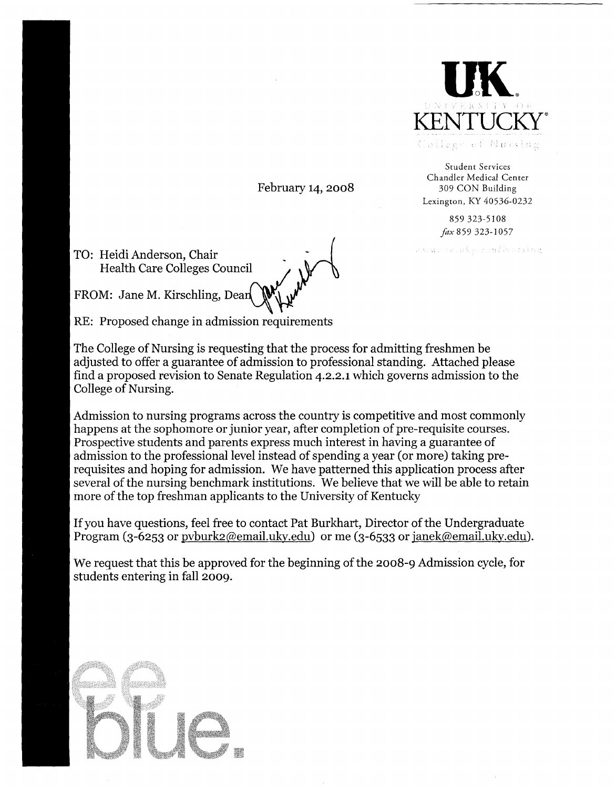

Student Services Chandler Medical Center 309 CON Building Lexington, KY 40536-0232

> 859 323-5108 *fax* 859323-1057

merude erra / Korndag

February 14, 2008

TO: Heidi Anderson, Chair Health Care Colleges Council

FROM: Jane M. Kirschling, Dean

RE: Proposed change in admission requirements

The College of Nursing is requesting that the process for admitting freshmen be adjusted to offer a guarantee of admission to professional standing. Attached please find a proposed revision to Senate Regulation 4.2.2.1 which governs admission to the College of Nursing.

Admission to nursing programs across the country is competitive and most commonly happens at the sophomore or junior year, after completion of pre-requisite courses. Prospective students and parents express much interest in having a guarantee of admission to the professional level instead of spending a year (or more) taking prerequisites and hoping for admission. We have patterned this application process after several of the nursing benchmark institutions. We believe that we will be able to retain more of the top freshman applicants to the University of Kentucky

If you have questions, feel free to contact Pat Burkhart, Director of the Undergraduate Program (3-6253 or pvburk2@email.uky.edu) or me (3-6533 or janek@email.uky.edu).

We request that this be approved for the beginning of the 2008-9 Admission cycle, for students entering in fall 2009.

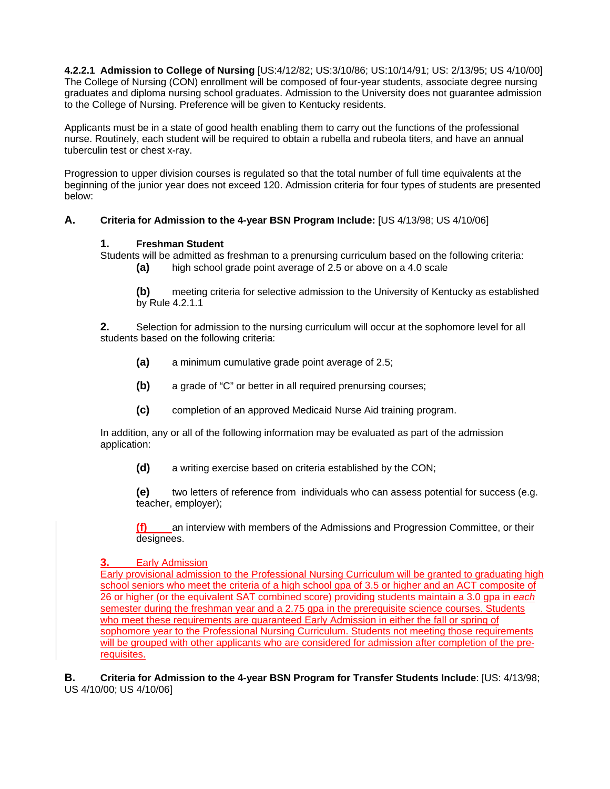**4.2.2.1 Admission to College of Nursing** [US:4/12/82; US:3/10/86; US:10/14/91; US: 2/13/95; US 4/10/00] The College of Nursing (CON) enrollment will be composed of four-year students, associate degree nursing graduates and diploma nursing school graduates. Admission to the University does not guarantee admission to the College of Nursing. Preference will be given to Kentucky residents.

Applicants must be in a state of good health enabling them to carry out the functions of the professional nurse. Routinely, each student will be required to obtain a rubella and rubeola titers, and have an annual tuberculin test or chest x-ray.

Progression to upper division courses is regulated so that the total number of full time equivalents at the beginning of the junior year does not exceed 120. Admission criteria for four types of students are presented below:

## **A. Criteria for Admission to the 4-year BSN Program Include:** [US 4/13/98; US 4/10/06]

## **1. Freshman Student**

Students will be admitted as freshman to a prenursing curriculum based on the following criteria:

**(a)** high school grade point average of 2.5 or above on a 4.0 scale

**(b)** meeting criteria for selective admission to the University of Kentucky as established by Rule 4.2.1.1

**2.** Selection for admission to the nursing curriculum will occur at the sophomore level for all students based on the following criteria:

- **(a)** a minimum cumulative grade point average of 2.5;
- **(b)** a grade of "C" or better in all required prenursing courses;
- **(c)** completion of an approved Medicaid Nurse Aid training program.

In addition, any or all of the following information may be evaluated as part of the admission application:

**(d)** a writing exercise based on criteria established by the CON;

**(e)** two letters of reference from individuals who can assess potential for success (e.g. teacher, employer);

**(f)** an interview with members of the Admissions and Progression Committee, or their designees.

## **3.** Early Admission

Early provisional admission to the Professional Nursing Curriculum will be granted to graduating high school seniors who meet the criteria of a high school gpa of 3.5 or higher and an ACT composite of 26 or higher (or the equivalent SAT combined score) providing students maintain a 3.0 gpa in *each* semester during the freshman year and a 2.75 gpa in the prerequisite science courses. Students who meet these requirements are guaranteed Early Admission in either the fall or spring of sophomore year to the Professional Nursing Curriculum. Students not meeting those requirements will be grouped with other applicants who are considered for admission after completion of the prerequisites.

**B. Criteria for Admission to the 4-year BSN Program for Transfer Students Include**: [US: 4/13/98; US 4/10/00; US 4/10/06]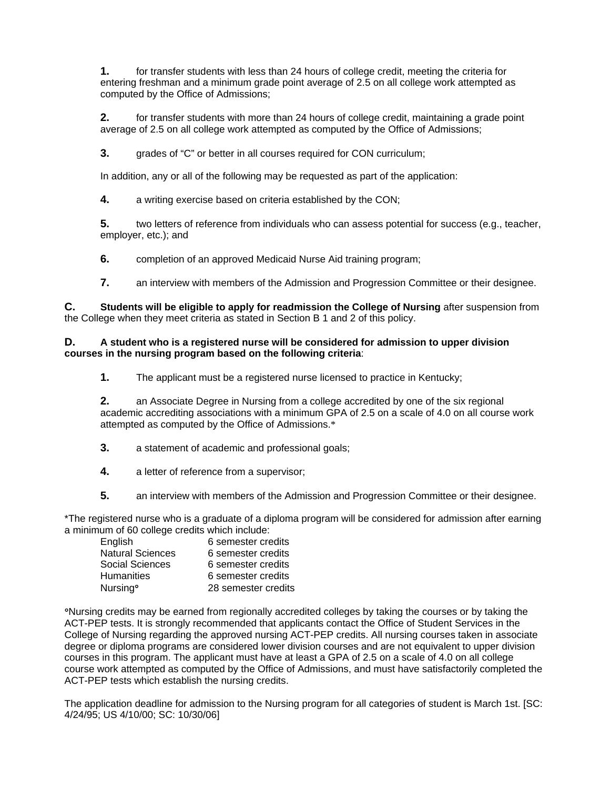**1.** for transfer students with less than 24 hours of college credit, meeting the criteria for entering freshman and a minimum grade point average of 2.5 on all college work attempted as computed by the Office of Admissions;

**2.** for transfer students with more than 24 hours of college credit, maintaining a grade point average of 2.5 on all college work attempted as computed by the Office of Admissions;

**3.** grades of "C" or better in all courses required for CON curriculum;

In addition, any or all of the following may be requested as part of the application:

**4.** a writing exercise based on criteria established by the CON;

**5.** two letters of reference from individuals who can assess potential for success (e.g., teacher, employer, etc.); and

**6.** completion of an approved Medicaid Nurse Aid training program;

**7.** an interview with members of the Admission and Progression Committee or their designee.

**C. Students will be eligible to apply for readmission the College of Nursing** after suspension from the College when they meet criteria as stated in Section B 1 and 2 of this policy.

#### **D. A student who is a registered nurse will be considered for admission to upper division courses in the nursing program based on the following criteria**:

**1.** The applicant must be a registered nurse licensed to practice in Kentucky;

**2.** an Associate Degree in Nursing from a college accredited by one of the six regional academic accrediting associations with a minimum GPA of 2.5 on a scale of 4.0 on all course work attempted as computed by the Office of Admissions.\*

- **3.** a statement of academic and professional goals;
- **4.** a letter of reference from a supervisor;
- **5.** an interview with members of the Admission and Progression Committee or their designee.

\*The registered nurse who is a graduate of a diploma program will be considered for admission after earning a minimum of 60 college credits which include:

| English                 | 6 semester credits  |
|-------------------------|---------------------|
| <b>Natural Sciences</b> | 6 semester credits  |
| Social Sciences         | 6 semester credits  |
| <b>Humanities</b>       | 6 semester credits  |
| Nursing <sup>o</sup>    | 28 semester credits |

°Nursing credits may be earned from regionally accredited colleges by taking the courses or by taking the ACT-PEP tests. It is strongly recommended that applicants contact the Office of Student Services in the College of Nursing regarding the approved nursing ACT-PEP credits. All nursing courses taken in associate degree or diploma programs are considered lower division courses and are not equivalent to upper division courses in this program. The applicant must have at least a GPA of 2.5 on a scale of 4.0 on all college course work attempted as computed by the Office of Admissions, and must have satisfactorily completed the ACT-PEP tests which establish the nursing credits.

The application deadline for admission to the Nursing program for all categories of student is March 1st. [SC: 4/24/95; US 4/10/00; SC: 10/30/06]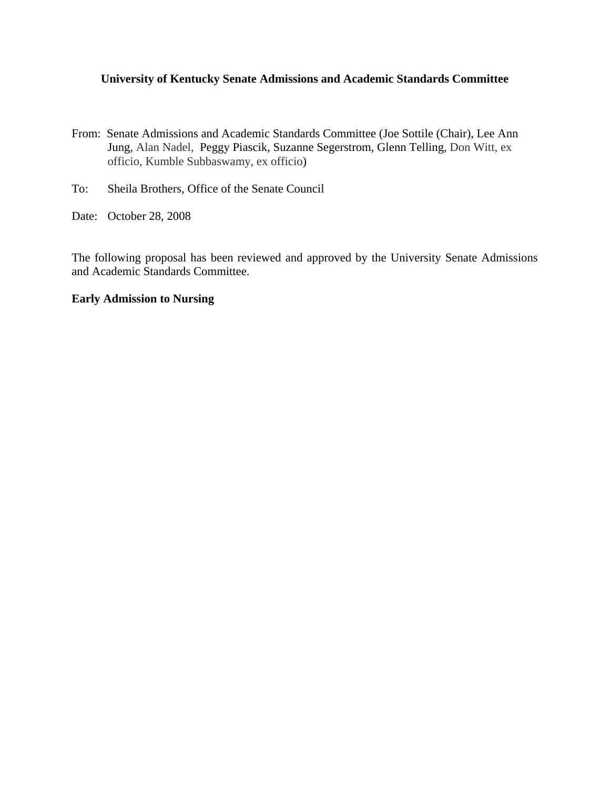## **University of Kentucky Senate Admissions and Academic Standards Committee**

- From: Senate Admissions and Academic Standards Committee (Joe Sottile (Chair), Lee Ann Jung, Alan Nadel, Peggy Piascik, Suzanne Segerstrom, Glenn Telling, Don Witt, ex officio, Kumble Subbaswamy, ex officio)
- To: Sheila Brothers, Office of the Senate Council
- Date: October 28, 2008

The following proposal has been reviewed and approved by the University Senate Admissions and Academic Standards Committee.

# **Early Admission to Nursing**